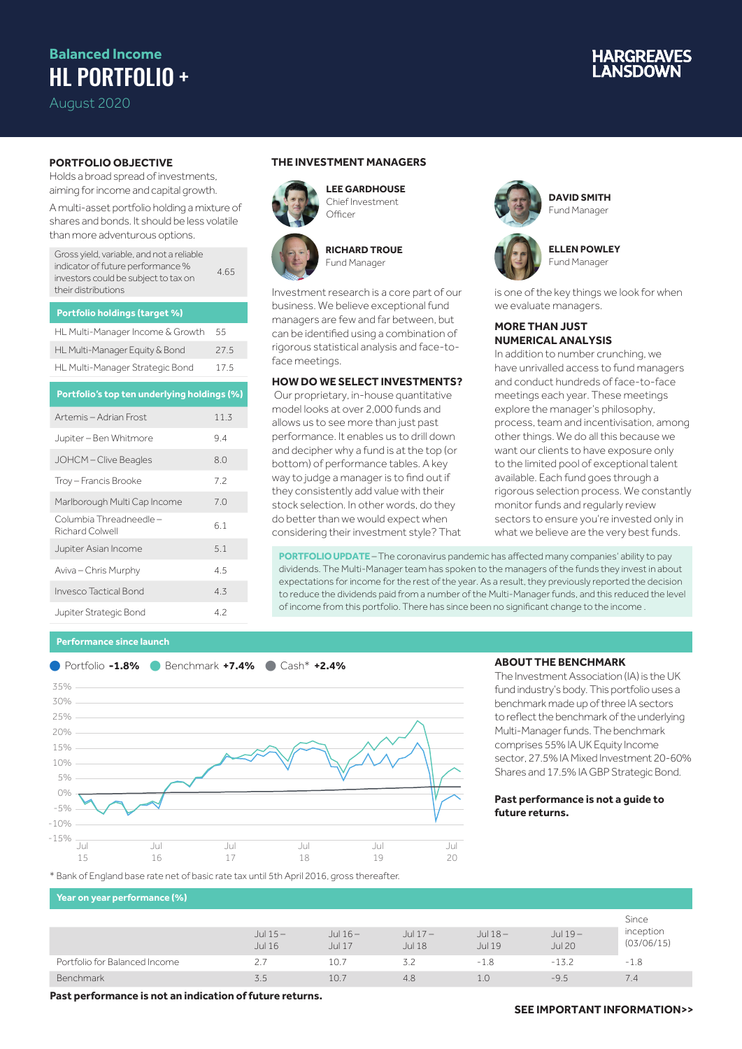## **Balanced Income** HL PORTFOLIO +

August 2020

# **IARGREAVES**

#### **PORTEOLIO OB IECTIVE**

Holds a broad spread of investments, aiming for income and capital growth.

A multi-asset portfolio holding a mixture of shares and bonds. It should be less volatile than more adventurous options.

Gross yield, variable, and not a reliable indicator of future performance % investors could be subject to tax on their distributions 4.65

**Portfolio holdings (target %)** HL Multi-Manager Income & Growth 55 HL Multi-Manager Equity & Bond 27.5

HL Multi-Manager Strategic Bond 17.5

| Portfolio's top ten underlying holdings (%) |      |
|---------------------------------------------|------|
| Artemis – Adrian Frost                      | 11.3 |
| Jupiter – Ben Whitmore                      | 9.4  |
| JOHCM-Clive Beagles                         | 8.0  |
| Troy - Francis Brooke                       | 7.2  |
| Marlborough Multi Cap Income                | 7.0  |
| Columbia Threadneedle-<br>Richard Colwell   | 6.1  |
| Jupiter Asian Income                        | 5.1  |
| Aviva – Chris Murphy                        | 4.5  |
| Invesco Tactical Bond                       | 4.3  |
| Juniter Strategic Bond                      | 42   |

#### **THE INVESTMENT MANAGERS**



Chief Investment **Officer** 

**LEE GARDHOUSE**



**RICHARD TROUE** Fund Manager

Investment research is a core part of our business. We believe exceptional fund managers are few and far between, but can be identified using a combination of rigorous statistical analysis and face-toface meetings.

#### **HOW DO WE SELECT INVESTMENTS?**

 Our proprietary, in-house quantitative model looks at over 2,000 funds and allows us to see more than just past performance. It enables us to drill down and decipher why a fund is at the top (or bottom) of performance tables. A key way to judge a manager is to find out if they consistently add value with their stock selection. In other words, do they do better than we would expect when considering their investment style? That

**PORTFOLIO UPDATE** - The coronavirus pandemic has affected many companies' ability to pay dividends. The Multi-Manager team has spoken to the managers of the funds they invest in about expectations for income for the rest of the year. As a result, they previously reported the decision to reduce the dividends paid from a number of the Multi-Manager funds, and this reduced the level of income from this portfolio. There has since been no significant change to the income .



**ELLEN POWLEY**

**DAVID SMITH** Fund Manager

Fund Manager

is one of the key things we look for when we evaluate managers.

#### **MORE THAN JUST NUMERICAL ANALYSIS**

In addition to number crunching, we have unrivalled access to fund managers and conduct hundreds of face-to-face meetings each year. These meetings explore the manager's philosophy, process, team and incentivisation, among other things. We do all this because we want our clients to have exposure only to the limited pool of exceptional talent available. Each fund goes through a rigorous selection process. We constantly monitor funds and regularly review sectors to ensure you're invested only in what we believe are the very best funds.

#### **Performance since launch**



#### **ABOUT THE BENCHMARK**

The Investment Association (IA) is the UK fund industry's body. This portfolio uses a benchmark made up of three IA sectors to reflect the benchmark of the underlying Multi-Manager funds. The benchmark comprises 55% IA UK Equity Income sector, 27.5% IA Mixed Investment 20-60% Shares and 17.5% IA GBP Strategic Bond.

#### **Past performance is not a guide to future returns.**

\* Bank of England base rate net of basic rate tax until 5th April 2016, gross thereafter.

#### **Year on year performance (%)**

|                               |                            |                          |                            |                     |                     | Since                   |
|-------------------------------|----------------------------|--------------------------|----------------------------|---------------------|---------------------|-------------------------|
|                               | Jul $15-$<br><b>Jul 16</b> | Jul 16-<br><b>Jul 17</b> | Jul $17-$<br><b>Jul 18</b> | Jul $18-$<br>Jul 19 | Jul $19-$<br>Jul 20 | inception<br>(03/06/15) |
| Portfolio for Balanced Income | 2.7                        | 10.7                     |                            | $-1.8$              | $-13.2$             | $-1.8$                  |
| Benchmark                     | 3.5                        | 10.7                     | 4.8                        | 1.0                 | $-9.5$              | $\sqrt{4}$              |

**Past performance is not an indication of future returns.**

### **SEE IMPORTANT INFORMATION>>**